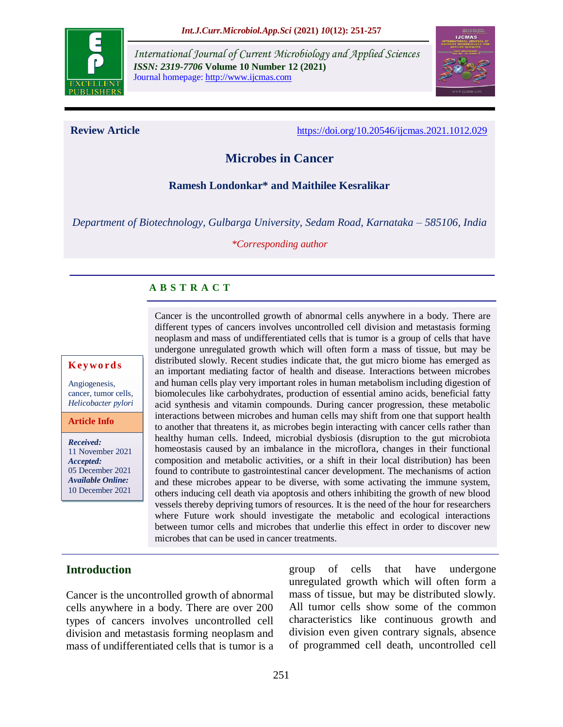

*International Journal of Current Microbiology and Applied Sciences ISSN: 2319-7706* **Volume 10 Number 12 (2021)**  Journal homepage: http://www.ijcmas.com



**Review Article** <https://doi.org/10.20546/ijcmas.2021.1012.029>

# **Microbes in Cancer**

#### **Ramesh Londonkar\* and Maithilee Kesralikar**

*Department of Biotechnology, Gulbarga University, Sedam Road, Karnataka – 585106, India*

*\*Corresponding author*

## **A B S T R A C T**

#### **K ey w o rd s**

Angiogenesis, cancer, tumor cells, *Helicobacter pylori*

**Article Info**

*Received:*  11 November 2021 *Accepted:*  05 December 2021 *Available Online:* 10 December 2021

Cancer is the uncontrolled growth of abnormal cells anywhere in a body. There are different types of cancers involves uncontrolled cell division and metastasis forming neoplasm and mass of undifferentiated cells that is tumor is a group of cells that have undergone unregulated growth which will often form a mass of tissue, but may be distributed slowly. Recent studies indicate that, the gut micro biome has emerged as an important mediating factor of health and disease. Interactions between microbes and human cells play very important roles in human metabolism including digestion of biomolecules like carbohydrates, production of essential amino acids, beneficial fatty acid synthesis and vitamin compounds. During cancer progression, these metabolic interactions between microbes and human cells may shift from one that support health to another that threatens it, as microbes begin interacting with cancer cells rather than healthy human cells. Indeed, microbial dysbiosis (disruption to the gut microbiota homeostasis caused by an imbalance in the microflora, changes in their functional composition and metabolic activities, or a shift in their local distribution) has been found to contribute to gastrointestinal cancer development. The mechanisms of action and these microbes appear to be diverse, with some activating the immune system, others inducing cell death via apoptosis and others inhibiting the growth of new blood vessels thereby depriving tumors of resources. It is the need of the hour for researchers where Future work should investigate the metabolic and ecological interactions between tumor cells and microbes that underlie this effect in order to discover new microbes that can be used in cancer treatments.

## **Introduction**

Cancer is the uncontrolled growth of abnormal cells anywhere in a body. There are over 200 types of cancers involves uncontrolled cell division and metastasis forming neoplasm and mass of undifferentiated cells that is tumor is a group of cells that have undergone unregulated growth which will often form a mass of tissue, but may be distributed slowly. All tumor cells show some of the common characteristics like continuous growth and division even given contrary signals, absence of programmed cell death, uncontrolled cell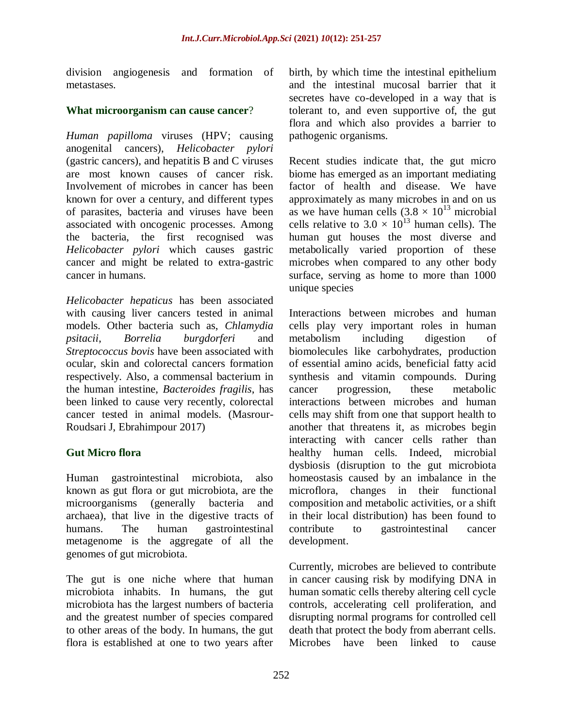division angiogenesis and formation of metastases.

#### **What microorganism can cause cancer**?

*Human papilloma* viruses (HPV; causing anogenital cancers), *Helicobacter pylori* (gastric cancers), and hepatitis B and C viruses are most known causes of cancer risk. Involvement of microbes in cancer has been known for over a century, and different types of parasites, bacteria and viruses have been associated with oncogenic processes. Among the bacteria, the first recognised was *Helicobacter pylori* which causes gastric cancer and might be related to extra-gastric cancer in humans.

*Helicobacter hepaticus* has been associated with causing liver cancers tested in animal models. Other bacteria such as, *Chlamydia psitacii*, *Borrelia burgdorferi* and *Streptococcus bovis* have been associated with ocular, skin and colorectal cancers formation respectively. Also, a commensal bacterium in the human intestine, *Bacteroides fragilis*, has been linked to cause very recently, colorectal cancer tested in animal models. (Masrour-Roudsari J, Ebrahimpour 2017)

## **Gut Micro flora**

Human gastrointestinal microbiota, also known as gut flora or gut microbiota, are the microorganisms (generally bacteria and archaea), that live in the digestive tracts of humans. The human gastrointestinal metagenome is the aggregate of all the genomes of gut microbiota.

The gut is one niche where that human microbiota inhabits. In humans, the gut microbiota has the largest numbers of bacteria and the greatest number of species compared to other areas of the body. In humans, the gut flora is established at one to two years after birth, by which time the intestinal epithelium and the intestinal mucosal barrier that it secretes have co-developed in a way that is tolerant to, and even supportive of, the gut flora and which also provides a barrier to pathogenic organisms.

Recent studies indicate that, the gut micro biome has emerged as an important mediating factor of health and disease. We have approximately as many microbes in and on us as we have human cells  $(3.8 \times 10^{13} \text{ microbial})$ cells relative to  $3.0 \times 10^{13}$  human cells). The human gut houses the most diverse and metabolically varied proportion of these microbes when compared to any other body surface, serving as home to more than 1000 unique species

Interactions between microbes and human cells play very important roles in human metabolism including digestion of biomolecules like carbohydrates, production of essential amino acids, beneficial fatty acid synthesis and vitamin compounds. During cancer progression, these metabolic interactions between microbes and human cells may shift from one that support health to another that threatens it, as microbes begin interacting with cancer cells rather than healthy human cells. Indeed, microbial dysbiosis (disruption to the gut microbiota homeostasis caused by an imbalance in the microflora, changes in their functional composition and metabolic activities, or a shift in their local distribution) has been found to contribute to gastrointestinal cancer development.

Currently, microbes are believed to contribute in cancer causing risk by modifying DNA in human somatic cells thereby altering cell cycle controls, accelerating cell proliferation, and disrupting normal programs for controlled cell death that protect the body from aberrant cells. Microbes have been linked to cause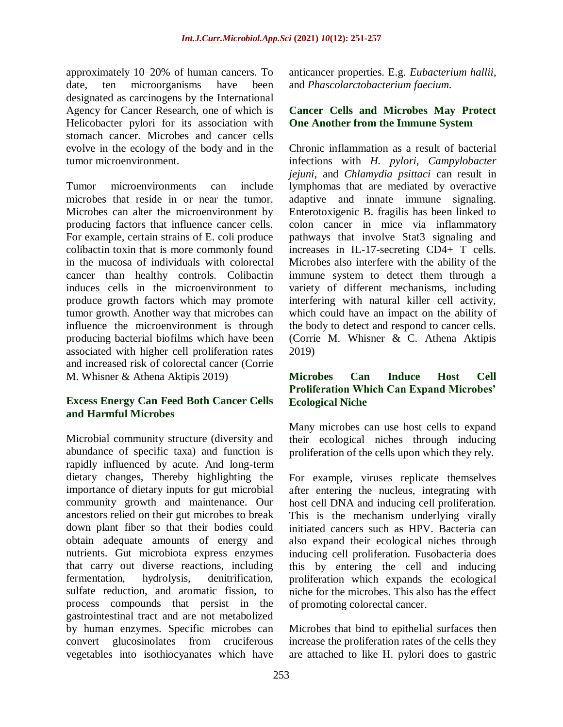approximately 10–20% of human cancers. To date, ten microorganisms have been designated as carcinogens by the International Agency for Cancer Research, one of which is Helicobacter pylori for its association with stomach cancer. Microbes and cancer cells evolve in the ecology of the body and in the tumor microenvironment.

Tumor microenvironments can include microbes that reside in or near the tumor. Microbes can alter the microenvironment by producing factors that influence cancer cells. For example, certain strains of E. coli produce colibactin toxin that is more commonly found in the mucosa of individuals with colorectal cancer than healthy controls. Colibactin induces cells in the microenvironment to produce growth factors which may promote tumor growth. Another way that microbes can influence the microenvironment is through producing bacterial biofilms which have been associated with higher cell proliferation rates and increased risk of colorectal cancer (Corrie M. Whisner & Athena Aktipis 2019)

#### **Excess Energy Can Feed Both Cancer Cells and Harmful Microbes**

Microbial community structure (diversity and abundance of specific taxa) and function is rapidly influenced by acute. And long-term dietary changes, Thereby highlighting the importance of dietary inputs for gut microbial community growth and maintenance. Our ancestors relied on their gut microbes to break down plant fiber so that their bodies could obtain adequate amounts of energy and nutrients. Gut microbiota express enzymes that carry out diverse reactions, including fermentation, hydrolysis, denitrification, sulfate reduction, and aromatic fission, to process compounds that persist in the gastrointestinal tract and are not metabolized by human enzymes. Specific microbes can convert glucosinolates from cruciferous vegetables into isothiocyanates which have

anticancer properties. E.g. *Eubacterium hallii*, and *Phascolarctobacterium faecium.*

#### **Cancer Cells and Microbes May Protect One Another from the Immune System**

Chronic inflammation as a result of bacterial infections with *H. pylori, Campylobacter jejuni*, and *Chlamydia psittaci* can result in lymphomas that are mediated by overactive adaptive and innate immune signaling. Enterotoxigenic B. fragilis has been linked to colon cancer in mice via inflammatory pathways that involve Stat3 signaling and increases in IL-17-secreting CD4+ T cells. Microbes also interfere with the ability of the immune system to detect them through a variety of different mechanisms, including interfering with natural killer cell activity, which could have an impact on the ability of the body to detect and respond to cancer cells. (Corrie M. Whisner & C. Athena Aktipis 2019)

#### **Microbes Can Induce Host Cell Proliferation Which Can Expand Microbes' Ecological Niche**

Many microbes can use host cells to expand their ecological niches through inducing proliferation of the cells upon which they rely.

For example, viruses replicate themselves after entering the nucleus, integrating with host cell DNA and inducing cell proliferation. This is the mechanism underlying virally initiated cancers such as HPV. Bacteria can also expand their ecological niches through inducing cell proliferation. Fusobacteria does this by entering the cell and inducing proliferation which expands the ecological niche for the microbes. This also has the effect of promoting colorectal cancer.

Microbes that bind to epithelial surfaces then increase the proliferation rates of the cells they are attached to like H. pylori does to gastric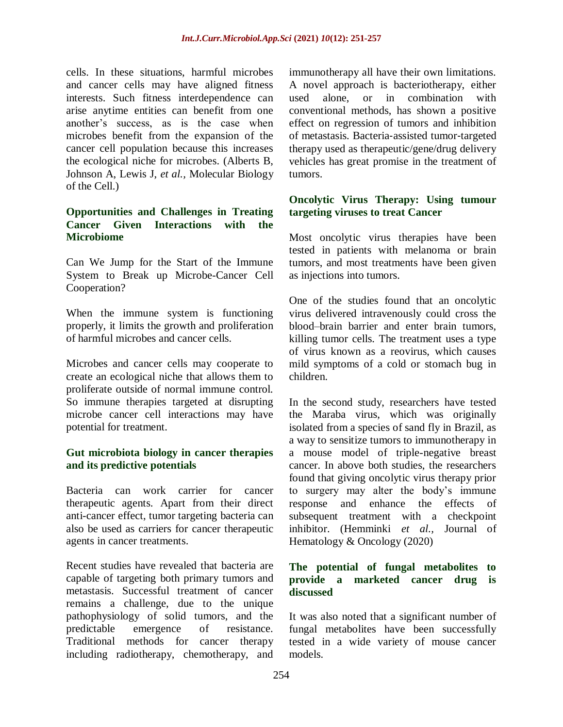cells. In these situations, harmful microbes and cancer cells may have aligned fitness interests. Such fitness interdependence can arise anytime entities can benefit from one another's success, as is the case when microbes benefit from the expansion of the cancer cell population because this increases the ecological niche for microbes. (Alberts B, Johnson A, Lewis J, *et al.,* Molecular Biology of the Cell.)

## **Opportunities and Challenges in Treating Cancer Given Interactions with the Microbiome**

Can We Jump for the Start of the Immune System to Break up Microbe-Cancer Cell Cooperation?

When the immune system is functioning properly, it limits the growth and proliferation of harmful microbes and cancer cells.

Microbes and cancer cells may cooperate to create an ecological niche that allows them to proliferate outside of normal immune control. So immune therapies targeted at disrupting microbe cancer cell interactions may have potential for treatment.

#### **Gut microbiota biology in cancer therapies and its predictive potentials**

Bacteria can work carrier for cancer therapeutic agents. Apart from their direct anti-cancer effect, tumor targeting bacteria can also be used as carriers for cancer therapeutic agents in cancer treatments.

Recent studies have revealed that bacteria are capable of targeting both primary tumors and metastasis. Successful treatment of cancer remains a challenge, due to the unique pathophysiology of solid tumors, and the predictable emergence of resistance. Traditional methods for cancer therapy including radiotherapy, chemotherapy, and

immunotherapy all have their own limitations. A novel approach is bacteriotherapy, either used alone, or in combination with conventional methods, has shown a positive effect on regression of tumors and inhibition of metastasis. Bacteria‐assisted tumor‐targeted therapy used as therapeutic/gene/drug delivery vehicles has great promise in the treatment of tumors.

#### **Oncolytic Virus Therapy: Using tumour targeting viruses to treat Cancer**

Most oncolytic virus therapies have been tested in patients with melanoma or brain tumors, and most treatments have been given as injections into tumors.

One of the studies found that an oncolytic virus delivered intravenously could cross the blood–brain barrier and enter brain tumors, killing tumor cells. The treatment uses a type of virus known as a reovirus, which causes mild symptoms of a cold or stomach bug in children.

In the second study, researchers have tested the Maraba virus, which was originally isolated from a species of sand fly in Brazil, as a way to sensitize tumors to immunotherapy in a mouse model of triple-negative breast cancer. In above both studies, the researchers found that giving oncolytic virus therapy prior to surgery may alter the body's immune response and enhance the effects of subsequent treatment with a checkpoint inhibitor. (Hemminki *et al.,* Journal of Hematology & Oncology (2020)

#### **The potential of fungal metabolites to provide a marketed cancer drug is discussed**

It was also noted that a significant number of fungal metabolites have been successfully tested in a wide variety of mouse cancer models.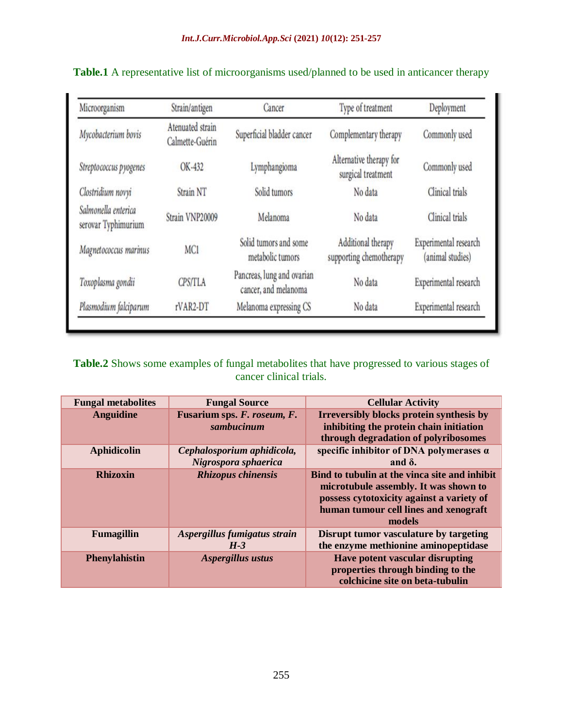| Microorganism                              | Strain/antigen                      | Cancer                                             | Type of treatment                             | Deployment                                |
|--------------------------------------------|-------------------------------------|----------------------------------------------------|-----------------------------------------------|-------------------------------------------|
| Mycobacterium bovis                        | Atenuated strain<br>Calmette-Guérin | Superficial bladder cancer                         | Complementary therapy                         | Commonly used                             |
| Streptococcus pyogenes                     | OK-432                              | Lymphangioma                                       | Alternative therapy for<br>surgical treatment | Commonly used                             |
| Clostridium novyi                          | Strain NT                           | Solid tumors                                       | No data                                       | Clinical trials                           |
| Salmonella enterica<br>serovar Typhimurium | Strain VNP20009                     | Melanoma                                           | No data                                       | Clinical trials                           |
| Magnetococcus marinus                      | MC1                                 | Solid tumors and some<br>metabolic tumors          | Additional therapy<br>supporting chemotherapy | Experimental research<br>(animal studies) |
| Toxoplasma gondii                          | <b>CPS/TLA</b>                      | Pancreas, lung and ovarian<br>cancer, and melanoma | No data                                       | Experimental research                     |
| Plasmodium falciparum                      | rVAR2-DT                            | Melanoma expressing CS                             | No data                                       | Experimental research                     |

**Table.1** A representative list of microorganisms used/planned to be used in anticancer therapy

**Table.2** Shows some examples of fungal metabolites that have progressed to various stages of cancer clinical trials.

| <b>Fungal metabolites</b> | <b>Fungal Source</b>                               | <b>Cellular Activity</b>                                                                                                                                                               |
|---------------------------|----------------------------------------------------|----------------------------------------------------------------------------------------------------------------------------------------------------------------------------------------|
| <b>Anguidine</b>          | Fusarium sps. F. roseum, F.<br>sambucinum          | Irreversibly blocks protein synthesis by<br>inhibiting the protein chain initiation<br>through degradation of polyribosomes                                                            |
| <b>Aphidicolin</b>        | Cephalosporium aphidicola,<br>Nigrospora sphaerica | specific inhibitor of DNA polymerases $\alpha$<br>and $\delta$ .                                                                                                                       |
| <b>Rhizoxin</b>           | <b>Rhizopus chinensis</b>                          | Bind to tubulin at the vinca site and inhibit<br>microtubule assembly. It was shown to<br>possess cytotoxicity against a variety of<br>human tumour cell lines and xenograft<br>models |
| <b>Fumagillin</b>         | Aspergillus fumigatus strain<br>$H-3$              | Disrupt tumor vasculature by targeting<br>the enzyme methionine aminopeptidase                                                                                                         |
| <b>Phenylahistin</b>      | Aspergillus ustus                                  | <b>Have potent vascular disrupting</b><br>properties through binding to the<br>colchicine site on beta-tubulin                                                                         |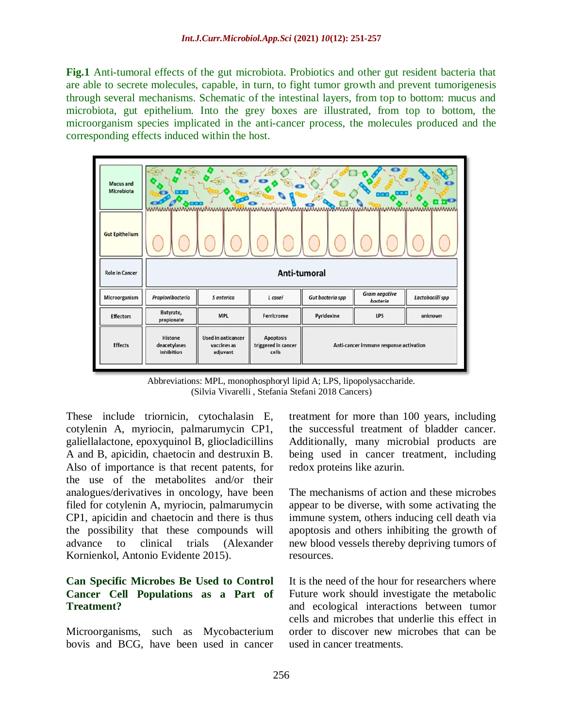**Fig.1** Anti-tumoral effects of the gut microbiota. Probiotics and other gut resident bacteria that are able to secrete molecules, capable, in turn, to fight tumor growth and prevent tumorigenesis through several mechanisms. Schematic of the intestinal layers, from top to bottom: mucus and microbiota, gut epithelium. Into the grey boxes are illustrated, from top to bottom, the microorganism species implicated in the anti-cancer process, the molecules produced and the corresponding effects induced within the host.



Abbreviations: MPL, monophosphoryl lipid A; LPS, lipopolysaccharide. (Silvia Vivarelli , Stefania Stefani 2018 Cancers)

These include triornicin, cytochalasin E, cotylenin A, myriocin, palmarumycin CP1, galiellalactone, epoxyquinol B, gliocladicillins A and B, apicidin, chaetocin and destruxin B. Also of importance is that recent patents, for the use of the metabolites and/or their analogues/derivatives in oncology, have been filed for cotylenin A, myriocin, palmarumycin CP1, apicidin and chaetocin and there is thus the possibility that these compounds will advance to clinical trials (Alexander Kornienkol, Antonio Evidente 2015).

#### **Can Specific Microbes Be Used to Control Cancer Cell Populations as a Part of Treatment?**

Microorganisms, such as Mycobacterium bovis and BCG, have been used in cancer

treatment for more than 100 years, including the successful treatment of bladder cancer. Additionally, many microbial products are being used in cancer treatment, including redox proteins like azurin.

The mechanisms of action and these microbes appear to be diverse, with some activating the immune system, others inducing cell death via apoptosis and others inhibiting the growth of new blood vessels thereby depriving tumors of resources.

It is the need of the hour for researchers where Future work should investigate the metabolic and ecological interactions between tumor cells and microbes that underlie this effect in order to discover new microbes that can be used in cancer treatments.